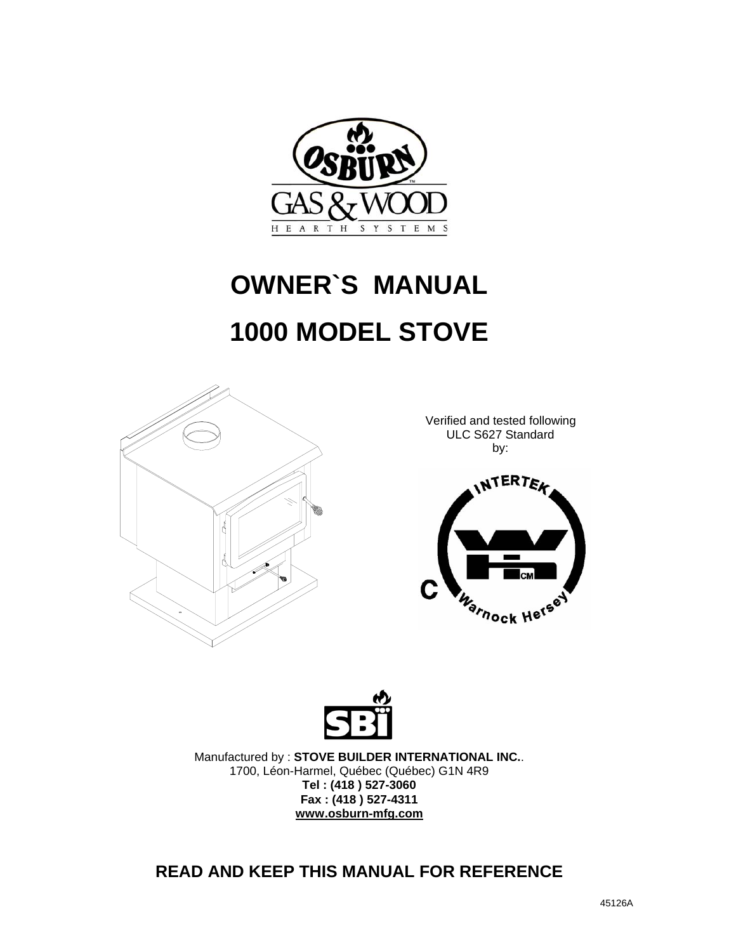

# **OWNER`S MANUAL 1000 MODEL STOVE**



Verified and tested following ULC S627 Standard by:





Manufactured by : **STOVE BUILDER INTERNATIONAL INC.**. 1700, Léon-Harmel, Québec (Québec) G1N 4R9 **Tel : (418 ) 527-3060 Fax : (418 ) 527-4311 www.osburn-mfg.com**

### **READ AND KEEP THIS MANUAL FOR REFERENCE**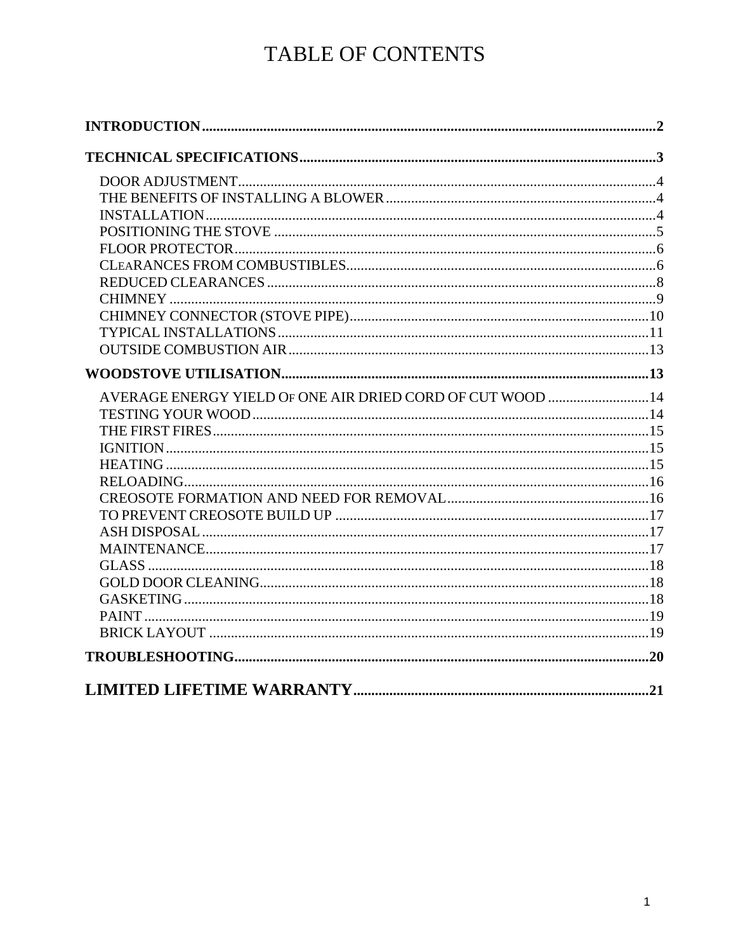# TABLE OF CONTENTS

| AVERAGE ENERGY YIELD OF ONE AIR DRIED CORD OF CUT WOOD 14 |  |
|-----------------------------------------------------------|--|
|                                                           |  |
|                                                           |  |
|                                                           |  |
|                                                           |  |
|                                                           |  |
|                                                           |  |
|                                                           |  |
|                                                           |  |
|                                                           |  |
|                                                           |  |
|                                                           |  |
|                                                           |  |
|                                                           |  |
|                                                           |  |
|                                                           |  |
|                                                           |  |
|                                                           |  |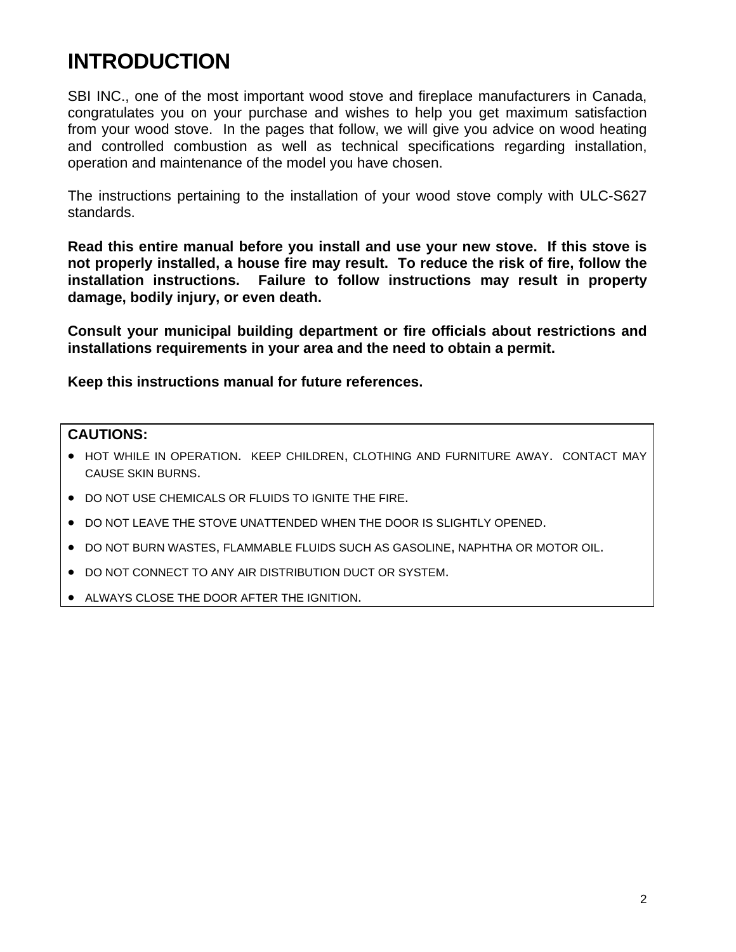# **INTRODUCTION**

SBI INC., one of the most important wood stove and fireplace manufacturers in Canada, congratulates you on your purchase and wishes to help you get maximum satisfaction from your wood stove. In the pages that follow, we will give you advice on wood heating and controlled combustion as well as technical specifications regarding installation, operation and maintenance of the model you have chosen.

The instructions pertaining to the installation of your wood stove comply with ULC-S627 standards.

**Read this entire manual before you install and use your new stove. If this stove is not properly installed, a house fire may result. To reduce the risk of fire, follow the installation instructions. Failure to follow instructions may result in property damage, bodily injury, or even death.** 

**Consult your municipal building department or fire officials about restrictions and installations requirements in your area and the need to obtain a permit.** 

**Keep this instructions manual for future references.** 

#### **CAUTIONS:**

- HOT WHILE IN OPERATION. KEEP CHILDREN, CLOTHING AND FURNITURE AWAY. CONTACT MAY CAUSE SKIN BURNS.
- DO NOT USE CHEMICALS OR FLUIDS TO IGNITE THE FIRE.
- DO NOT LEAVE THE STOVE UNATTENDED WHEN THE DOOR IS SLIGHTLY OPENED.
- DO NOT BURN WASTES, FLAMMABLE FLUIDS SUCH AS GASOLINE, NAPHTHA OR MOTOR OIL.
- DO NOT CONNECT TO ANY AIR DISTRIBUTION DUCT OR SYSTEM.
- ALWAYS CLOSE THE DOOR AFTER THE IGNITION.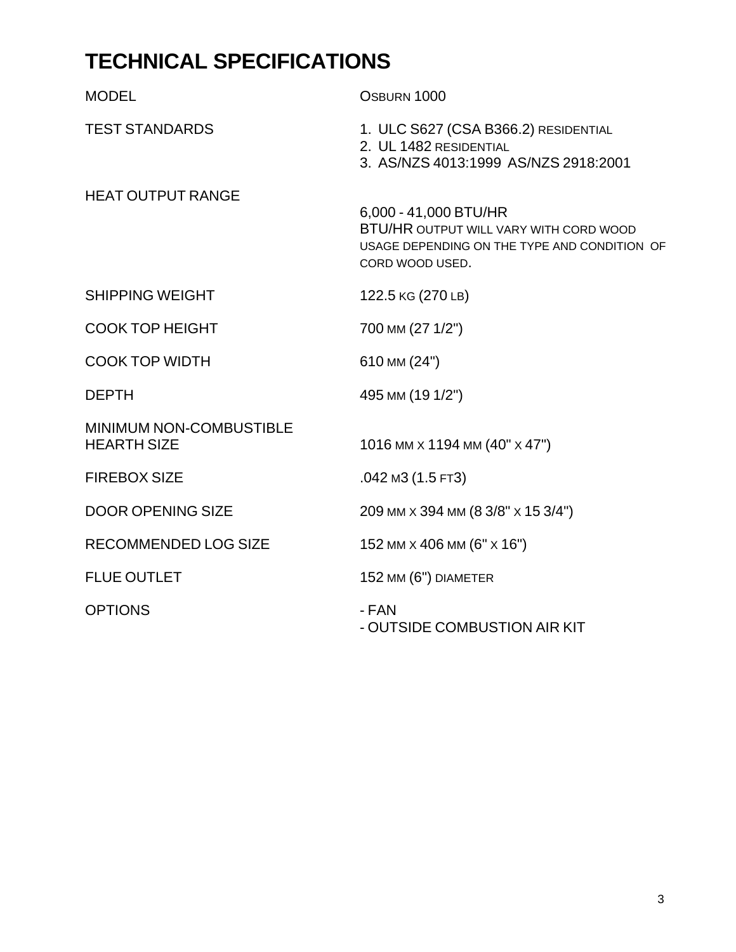# **TECHNICAL SPECIFICATIONS**

| <b>MODEL</b>                                         | OSBURN 1000                                                                                                                               |
|------------------------------------------------------|-------------------------------------------------------------------------------------------------------------------------------------------|
| <b>TEST STANDARDS</b>                                | 1. ULC S627 (CSA B366.2) RESIDENTIAL<br>2. UL 1482 RESIDENTIAL<br>3. AS/NZS 4013:1999 AS/NZS 2918:2001                                    |
| <b>HEAT OUTPUT RANGE</b>                             | 6,000 - 41,000 BTU/HR<br><b>BTU/HR OUTPUT WILL VARY WITH CORD WOOD</b><br>USAGE DEPENDING ON THE TYPE AND CONDITION OF<br>CORD WOOD USED. |
| <b>SHIPPING WEIGHT</b>                               | 122.5 KG (270 LB)                                                                                                                         |
| <b>COOK TOP HEIGHT</b>                               | 700 MM (27 1/2")                                                                                                                          |
| <b>COOK TOP WIDTH</b>                                | 610 MM (24")                                                                                                                              |
| <b>DEPTH</b>                                         | 495 MM (19 1/2")                                                                                                                          |
| <b>MINIMUM NON-COMBUSTIBLE</b><br><b>HEARTH SIZE</b> | 1016 MM x 1194 MM (40" x 47")                                                                                                             |
| <b>FIREBOX SIZE</b>                                  | .042 M3 (1.5 FT3)                                                                                                                         |
| <b>DOOR OPENING SIZE</b>                             | 209 мм х 394 мм (8 3/8" х 15 3/4")                                                                                                        |
| <b>RECOMMENDED LOG SIZE</b>                          | 152 MM $\times$ 406 MM (6" $\times$ 16")                                                                                                  |
| <b>FLUE OUTLET</b>                                   | 152 MM (6") DIAMETER                                                                                                                      |
| <b>OPTIONS</b>                                       | - FAN<br>- OUTSIDE COMBUSTION AIR KIT                                                                                                     |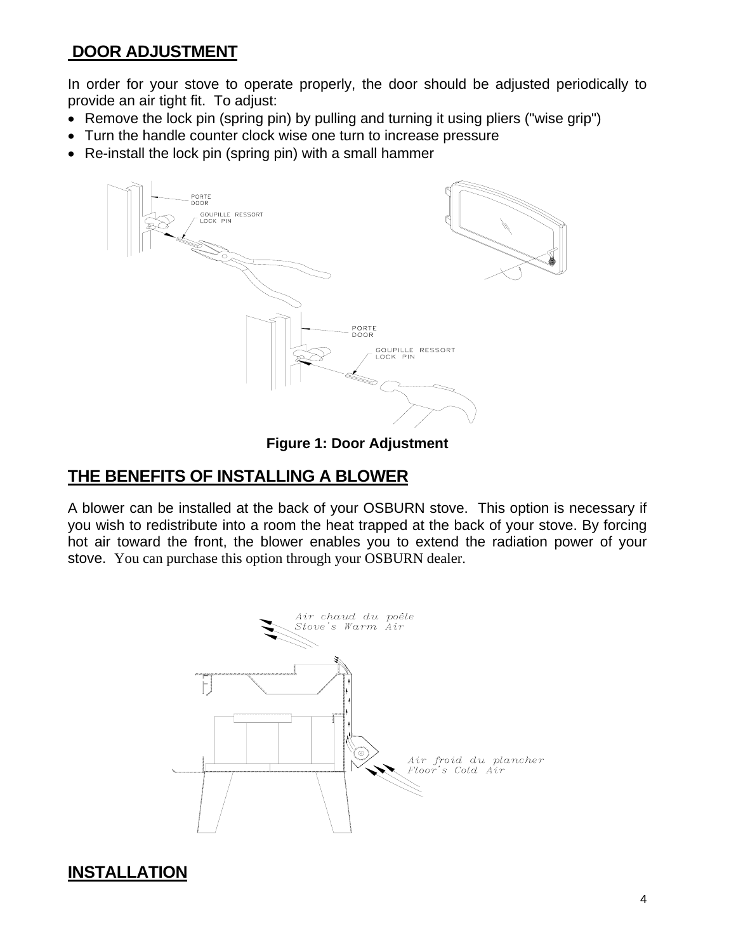### **DOOR ADJUSTMENT**

In order for your stove to operate properly, the door should be adjusted periodically to provide an air tight fit. To adjust:

- Remove the lock pin (spring pin) by pulling and turning it using pliers ("wise grip")
- Turn the handle counter clock wise one turn to increase pressure
- Re-install the lock pin (spring pin) with a small hammer



**Figure 1: Door Adjustment** 

#### **THE BENEFITS OF INSTALLING A BLOWER**

A blower can be installed at the back of your OSBURN stove. This option is necessary if you wish to redistribute into a room the heat trapped at the back of your stove. By forcing hot air toward the front, the blower enables you to extend the radiation power of your stove. You can purchase this option through your OSBURN dealer.



#### **INSTALLATION**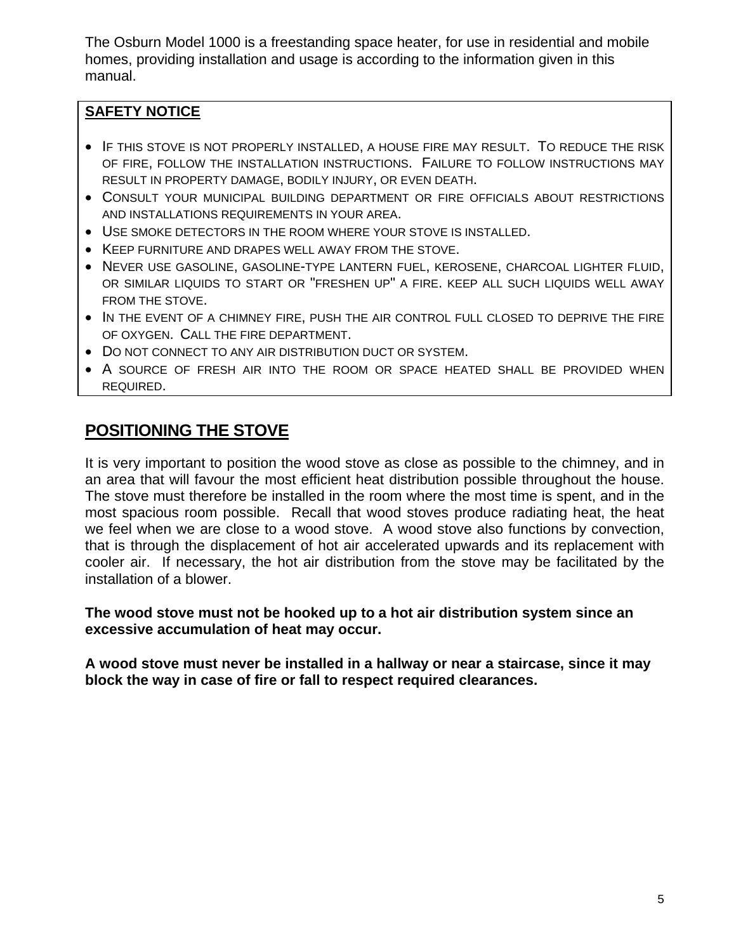The Osburn Model 1000 is a freestanding space heater, for use in residential and mobile homes, providing installation and usage is according to the information given in this manual.

#### **SAFETY NOTICE**

- IF THIS STOVE IS NOT PROPERLY INSTALLED, A HOUSE FIRE MAY RESULT. TO REDUCE THE RISK OF FIRE, FOLLOW THE INSTALLATION INSTRUCTIONS. FAILURE TO FOLLOW INSTRUCTIONS MAY RESULT IN PROPERTY DAMAGE, BODILY INJURY, OR EVEN DEATH.
- CONSULT YOUR MUNICIPAL BUILDING DEPARTMENT OR FIRE OFFICIALS ABOUT RESTRICTIONS AND INSTALLATIONS REQUIREMENTS IN YOUR AREA.
- USE SMOKE DETECTORS IN THE ROOM WHERE YOUR STOVE IS INSTALLED.
- KEEP FURNITURE AND DRAPES WELL AWAY FROM THE STOVE.
- NEVER USE GASOLINE, GASOLINE-TYPE LANTERN FUEL, KEROSENE, CHARCOAL LIGHTER FLUID, OR SIMILAR LIQUIDS TO START OR "FRESHEN UP" A FIRE. KEEP ALL SUCH LIQUIDS WELL AWAY FROM THE STOVE.
- IN THE EVENT OF A CHIMNEY FIRE, PUSH THE AIR CONTROL FULL CLOSED TO DEPRIVE THE FIRE OF OXYGEN. CALL THE FIRE DEPARTMENT.
- DO NOT CONNECT TO ANY AIR DISTRIBUTION DUCT OR SYSTEM.
- A SOURCE OF FRESH AIR INTO THE ROOM OR SPACE HEATED SHALL BE PROVIDED WHEN REQUIRED.

### **POSITIONING THE STOVE**

It is very important to position the wood stove as close as possible to the chimney, and in an area that will favour the most efficient heat distribution possible throughout the house. The stove must therefore be installed in the room where the most time is spent, and in the most spacious room possible. Recall that wood stoves produce radiating heat, the heat we feel when we are close to a wood stove. A wood stove also functions by convection, that is through the displacement of hot air accelerated upwards and its replacement with cooler air. If necessary, the hot air distribution from the stove may be facilitated by the installation of a blower.

**The wood stove must not be hooked up to a hot air distribution system since an excessive accumulation of heat may occur.** 

**A wood stove must never be installed in a hallway or near a staircase, since it may block the way in case of fire or fall to respect required clearances.**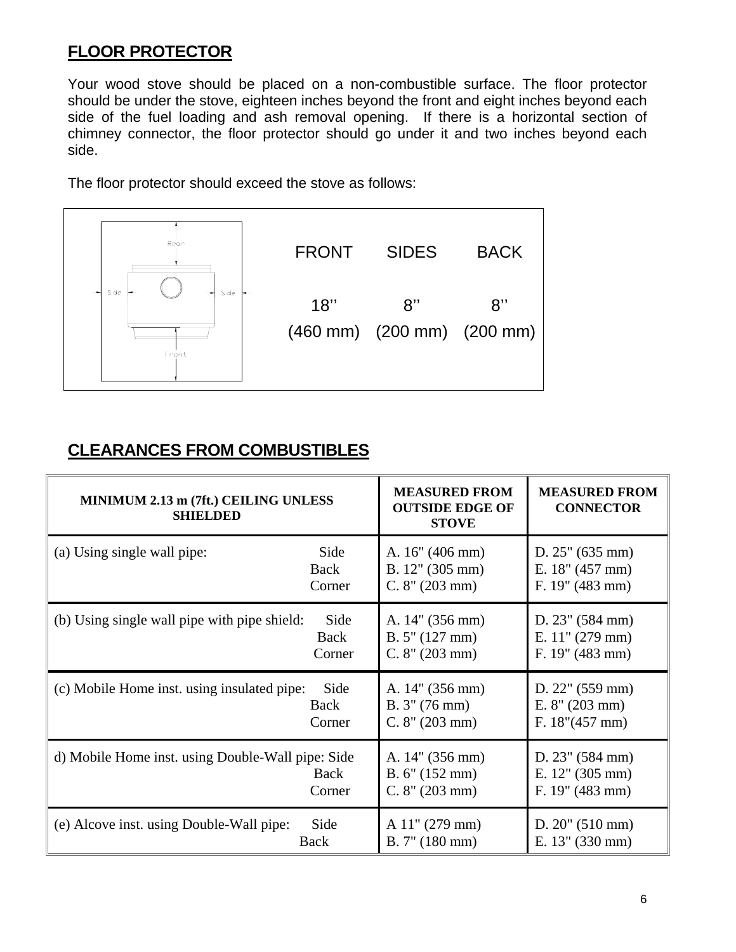# **FLOOR PROTECTOR**

Your wood stove should be placed on a non-combustible surface. The floor protector should be under the stove, eighteen inches beyond the front and eight inches beyond each side of the fuel loading and ash removal opening. If there is a horizontal section of chimney connector, the floor protector should go under it and two inches beyond each side.

The floor protector should exceed the stove as follows:



### **CLEARANCES FROM COMBUSTIBLES**

| MINIMUM 2.13 m (7ft.) CEILING UNLESS<br><b>SHIELDED</b> |                       | <b>MEASURED FROM</b><br><b>OUTSIDE EDGE OF</b><br><b>STOVE</b> | <b>MEASURED FROM</b><br><b>CONNECTOR</b>                       |
|---------------------------------------------------------|-----------------------|----------------------------------------------------------------|----------------------------------------------------------------|
| (a) Using single wall pipe:                             | Side                  | A. 16" (406 mm)                                                | D. 25" (635 mm)                                                |
|                                                         | Back                  | B. 12" (305 mm)                                                | E. 18" (457 mm)                                                |
|                                                         | Corner                | C. 8'' (203 mm)                                                | F. $19''$ (483 mm)                                             |
| (b) Using single wall pipe with pipe shield:            | Side                  | A. 14" (356 mm)                                                | D. 23" (584 mm)                                                |
|                                                         | Back                  | B. 5'' (127 mm)                                                | E. $11''$ (279 mm)                                             |
|                                                         | Corner                | C. 8'' (203 mm)                                                | F. 19" (483 mm)                                                |
| (c) Mobile Home inst. using insulated pipe:             | Side                  | A. 14" (356 mm)                                                | D. $22$ " (559 mm)                                             |
|                                                         | Back                  | B. 3'' (76 mm)                                                 | E. 8'' (203 mm)                                                |
|                                                         | Corner                | C. 8" (203 mm)                                                 | F. 18'' (457 mm)                                               |
| d) Mobile Home inst. using Double-Wall pipe: Side       | <b>Back</b><br>Corner | A. 14" (356 mm)<br>B. 6'' (152 mm)<br>C. 8'' (203 mm)          | D. $23''$ (584 mm)<br>E. $12$ " (305 mm)<br>F. $19''$ (483 mm) |
| (e) Alcove inst. using Double-Wall pipe:                | Side                  | $A$ 11" (279 mm)                                               | $D. 20$ " (510 mm)                                             |
| Back                                                    |                       | B. 7'' (180 mm)                                                | E. 13" (330 mm)                                                |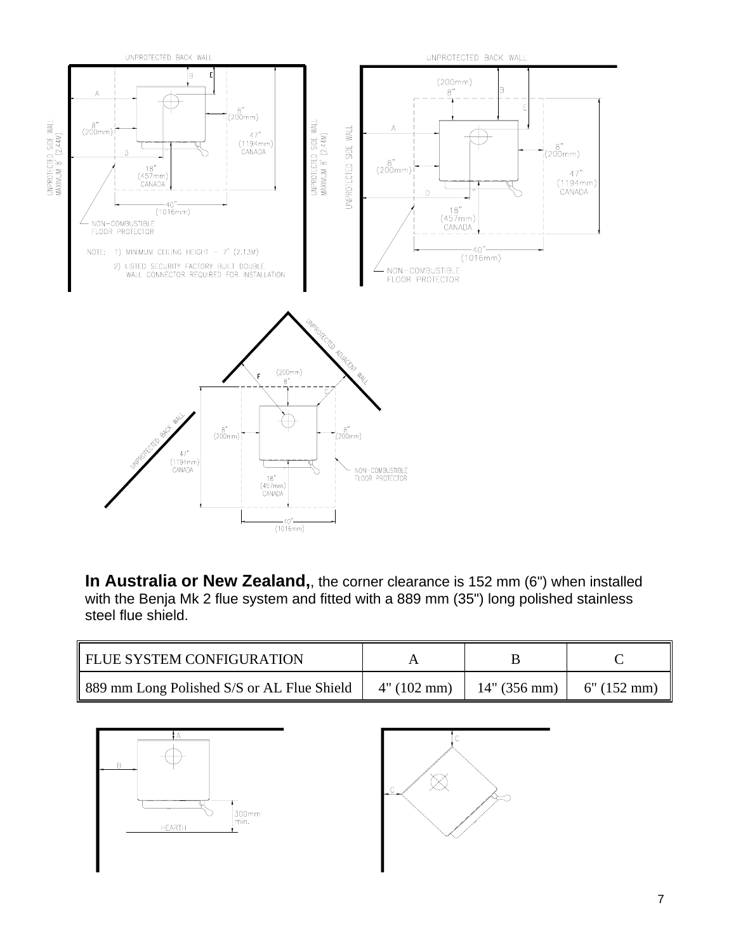

**In Australia or New Zealand,**, the corner clearance is 152 mm (6") when installed with the Benja Mk 2 flue system and fitted with a 889 mm (35") long polished stainless steel flue shield.

| FLUE SYSTEM CONFIGURATION                  |             |              |               |
|--------------------------------------------|-------------|--------------|---------------|
| 889 mm Long Polished S/S or AL Flue Shield | 4" (102 mm) | 14" (356 mm) | $6"$ (152 mm) |



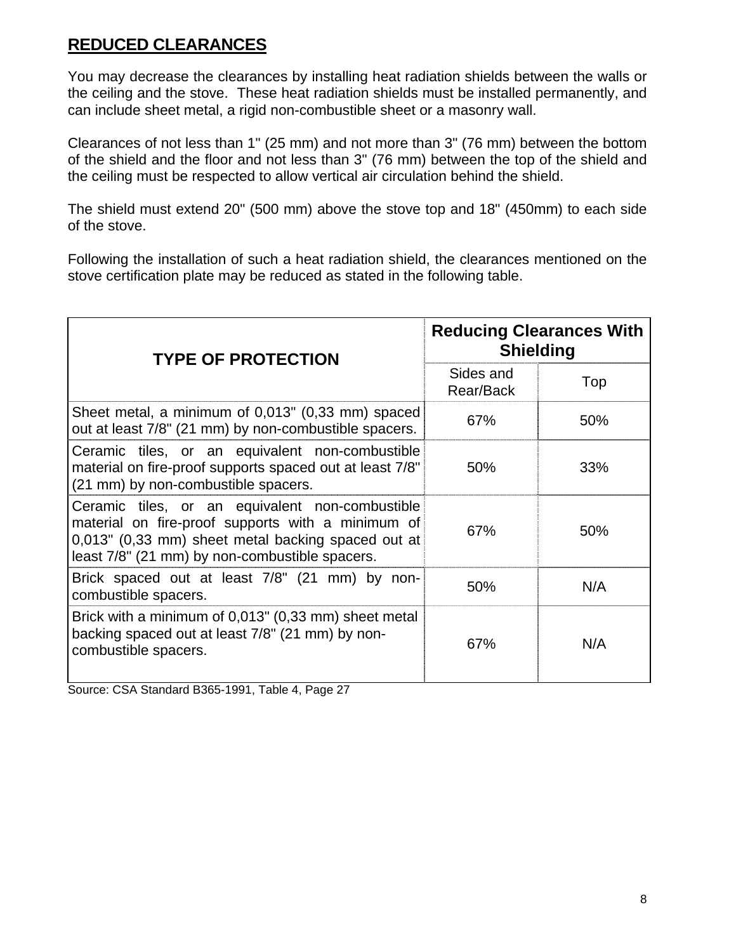### **REDUCED CLEARANCES**

You may decrease the clearances by installing heat radiation shields between the walls or the ceiling and the stove. These heat radiation shields must be installed permanently, and can include sheet metal, a rigid non-combustible sheet or a masonry wall.

Clearances of not less than 1" (25 mm) and not more than 3" (76 mm) between the bottom of the shield and the floor and not less than 3" (76 mm) between the top of the shield and the ceiling must be respected to allow vertical air circulation behind the shield.

The shield must extend 20" (500 mm) above the stove top and 18" (450mm) to each side of the stove.

Following the installation of such a heat radiation shield, the clearances mentioned on the stove certification plate may be reduced as stated in the following table.

| <b>TYPE OF PROTECTION</b>                                                                                                                                                                                    | <b>Reducing Clearances With</b><br><b>Shielding</b> |     |  |
|--------------------------------------------------------------------------------------------------------------------------------------------------------------------------------------------------------------|-----------------------------------------------------|-----|--|
|                                                                                                                                                                                                              | Sides and<br>Rear/Back                              | Top |  |
| Sheet metal, a minimum of 0,013" (0,33 mm) spaced<br>out at least 7/8" (21 mm) by non-combustible spacers.                                                                                                   | 67%                                                 | 50% |  |
| Ceramic tiles, or an equivalent non-combustible<br>material on fire-proof supports spaced out at least 7/8"<br>(21 mm) by non-combustible spacers.                                                           | 50%                                                 | 33% |  |
| Ceramic tiles, or an equivalent non-combustible<br>material on fire-proof supports with a minimum of<br>0,013" (0,33 mm) sheet metal backing spaced out at<br>least 7/8" (21 mm) by non-combustible spacers. | 67%                                                 | 50% |  |
| Brick spaced out at least 7/8" (21 mm) by non-<br>combustible spacers.                                                                                                                                       | 50%                                                 | N/A |  |
| Brick with a minimum of 0,013" (0,33 mm) sheet metal<br>backing spaced out at least 7/8" (21 mm) by non-<br>combustible spacers.                                                                             | 67%                                                 | N/A |  |

Source: CSA Standard B365-1991, Table 4, Page 27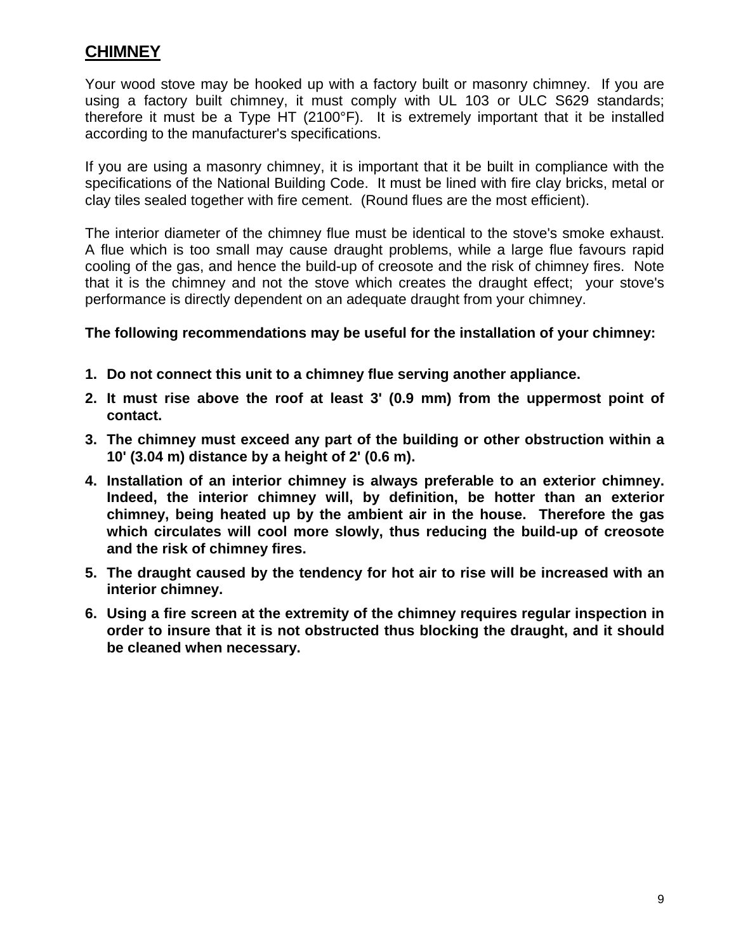#### **CHIMNEY**

Your wood stove may be hooked up with a factory built or masonry chimney. If you are using a factory built chimney, it must comply with UL 103 or ULC S629 standards; therefore it must be a Type HT (2100°F). It is extremely important that it be installed according to the manufacturer's specifications.

If you are using a masonry chimney, it is important that it be built in compliance with the specifications of the National Building Code. It must be lined with fire clay bricks, metal or clay tiles sealed together with fire cement. (Round flues are the most efficient).

The interior diameter of the chimney flue must be identical to the stove's smoke exhaust. A flue which is too small may cause draught problems, while a large flue favours rapid cooling of the gas, and hence the build-up of creosote and the risk of chimney fires. Note that it is the chimney and not the stove which creates the draught effect; your stove's performance is directly dependent on an adequate draught from your chimney.

#### **The following recommendations may be useful for the installation of your chimney:**

- **1. Do not connect this unit to a chimney flue serving another appliance.**
- **2. It must rise above the roof at least 3' (0.9 mm) from the uppermost point of contact.**
- **3. The chimney must exceed any part of the building or other obstruction within a 10' (3.04 m) distance by a height of 2' (0.6 m).**
- **4. Installation of an interior chimney is always preferable to an exterior chimney. Indeed, the interior chimney will, by definition, be hotter than an exterior chimney, being heated up by the ambient air in the house. Therefore the gas which circulates will cool more slowly, thus reducing the build-up of creosote and the risk of chimney fires.**
- **5. The draught caused by the tendency for hot air to rise will be increased with an interior chimney.**
- **6. Using a fire screen at the extremity of the chimney requires regular inspection in order to insure that it is not obstructed thus blocking the draught, and it should be cleaned when necessary.**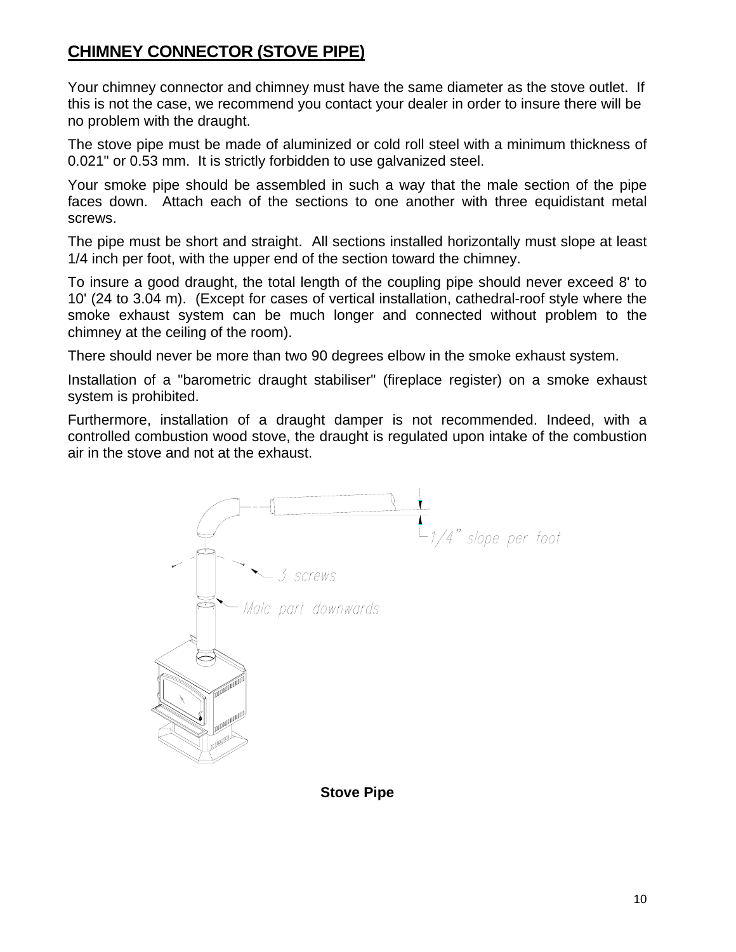# **CHIMNEY CONNECTOR (STOVE PIPE)**

Your chimney connector and chimney must have the same diameter as the stove outlet. If this is not the case, we recommend you contact your dealer in order to insure there will be no problem with the draught.

The stove pipe must be made of aluminized or cold roll steel with a minimum thickness of 0.021" or 0.53 mm. It is strictly forbidden to use galvanized steel.

Your smoke pipe should be assembled in such a way that the male section of the pipe faces down. Attach each of the sections to one another with three equidistant metal screws.

The pipe must be short and straight. All sections installed horizontally must slope at least 1/4 inch per foot, with the upper end of the section toward the chimney.

To insure a good draught, the total length of the coupling pipe should never exceed 8' to 10' (24 to 3.04 m). (Except for cases of vertical installation, cathedral-roof style where the smoke exhaust system can be much longer and connected without problem to the chimney at the ceiling of the room).

There should never be more than two 90 degrees elbow in the smoke exhaust system.

Installation of a "barometric draught stabiliser" (fireplace register) on a smoke exhaust system is prohibited.

Furthermore, installation of a draught damper is not recommended. Indeed, with a controlled combustion wood stove, the draught is regulated upon intake of the combustion air in the stove and not at the exhaust.



**Stove Pipe**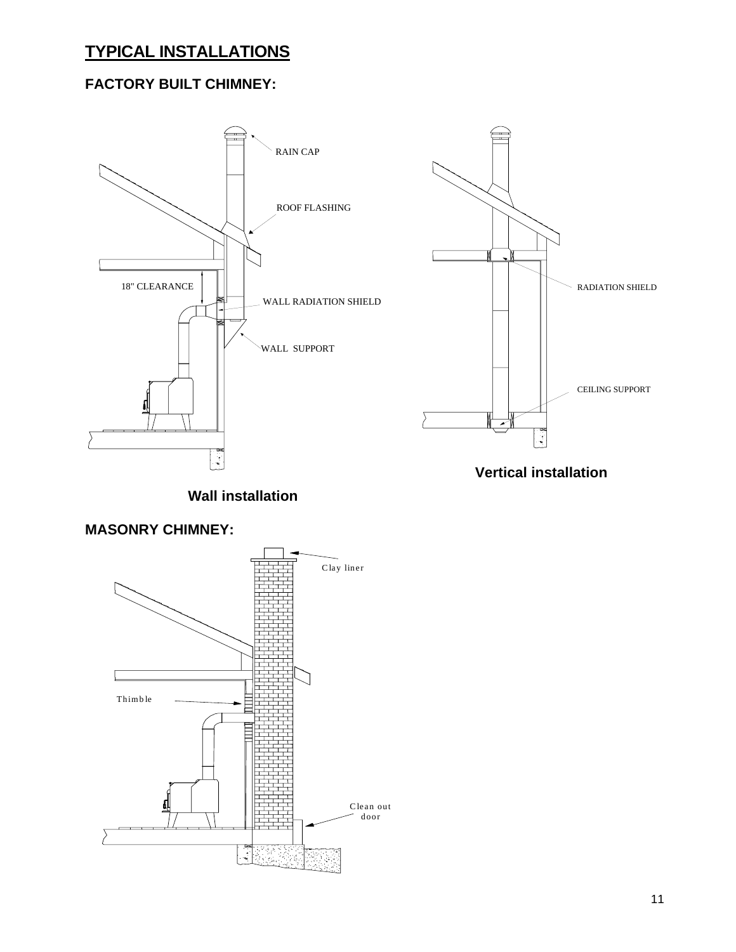# **TYPICAL INSTALLATIONS**

#### **FACTORY BUILT CHIMNEY:**



**Wall installation**

#### **MASONRY CHIMNEY:**

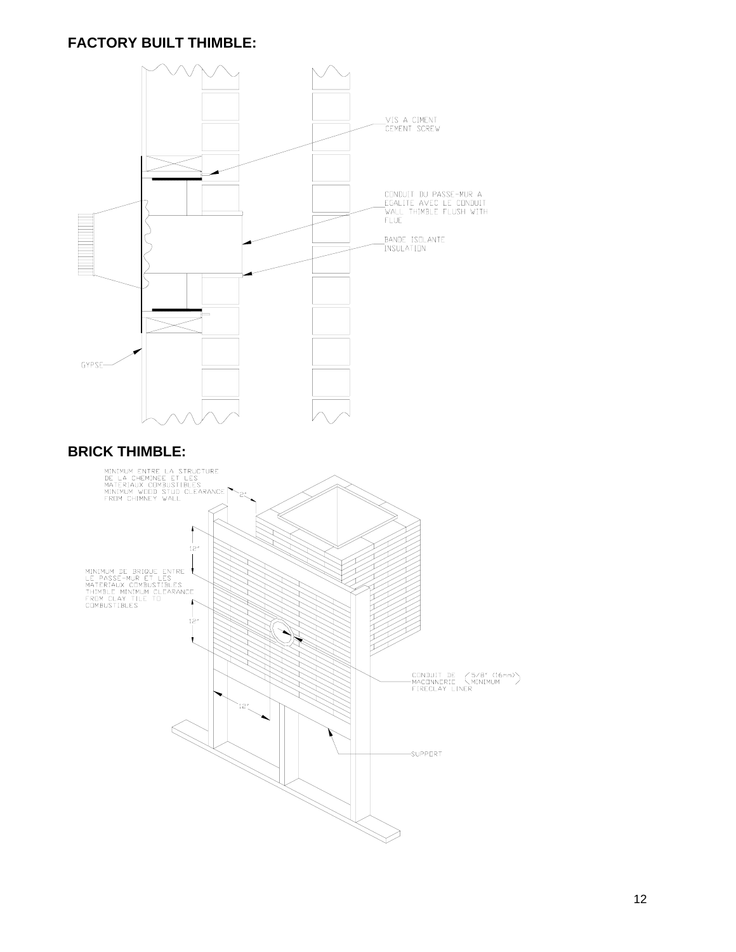#### **FACTORY BUILT THIMBLE:**

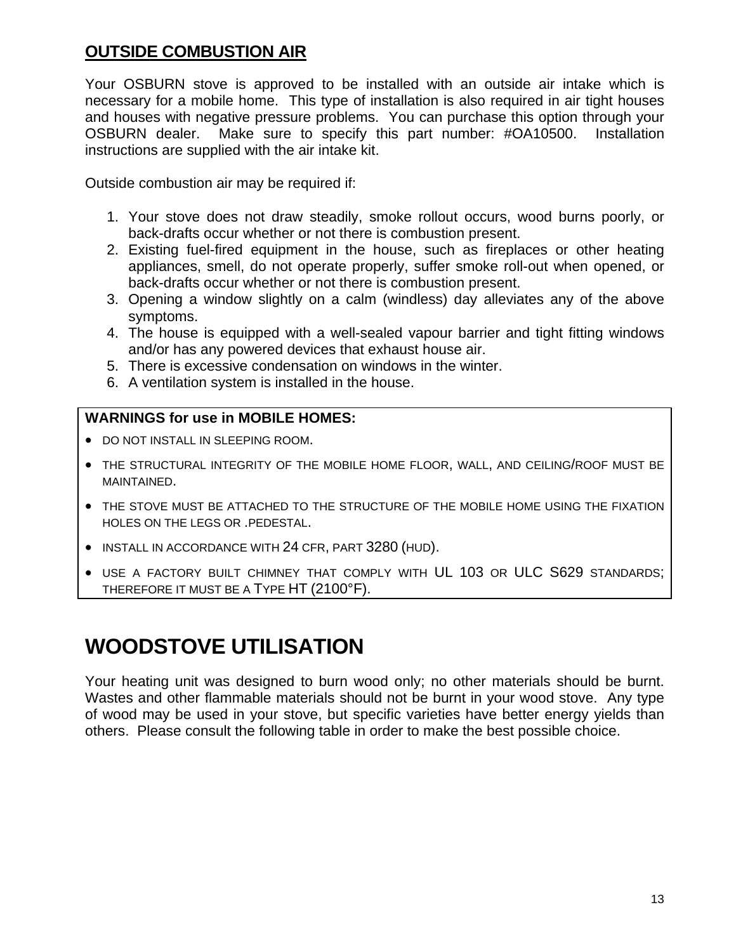#### **OUTSIDE COMBUSTION AIR**

Your OSBURN stove is approved to be installed with an outside air intake which is necessary for a mobile home. This type of installation is also required in air tight houses and houses with negative pressure problems. You can purchase this option through your OSBURN dealer. Make sure to specify this part number: #OA10500. Installation instructions are supplied with the air intake kit.

Outside combustion air may be required if:

- 1. Your stove does not draw steadily, smoke rollout occurs, wood burns poorly, or back-drafts occur whether or not there is combustion present.
- 2. Existing fuel-fired equipment in the house, such as fireplaces or other heating appliances, smell, do not operate properly, suffer smoke roll-out when opened, or back-drafts occur whether or not there is combustion present.
- 3. Opening a window slightly on a calm (windless) day alleviates any of the above symptoms.
- 4. The house is equipped with a well-sealed vapour barrier and tight fitting windows and/or has any powered devices that exhaust house air.
- 5. There is excessive condensation on windows in the winter.
- 6. A ventilation system is installed in the house.

#### **WARNINGS for use in MOBILE HOMES:**

- DO NOT INSTALL IN SLEEPING ROOM.
- THE STRUCTURAL INTEGRITY OF THE MOBILE HOME FLOOR, WALL, AND CEILING/ROOF MUST BE MAINTAINED.
- THE STOVE MUST BE ATTACHED TO THE STRUCTURE OF THE MOBILE HOME USING THE FIXATION HOLES ON THE LEGS OR .PEDESTAL.
- INSTALL IN ACCORDANCE WITH 24 CFR, PART 3280 (HUD).
- USE A FACTORY BUILT CHIMNEY THAT COMPLY WITH UL 103 OR ULC S629 STANDARDS; THEREFORE IT MUST BE A TYPE HT (2100°F).

# **WOODSTOVE UTILISATION**

Your heating unit was designed to burn wood only; no other materials should be burnt. Wastes and other flammable materials should not be burnt in your wood stove. Any type of wood may be used in your stove, but specific varieties have better energy yields than others. Please consult the following table in order to make the best possible choice.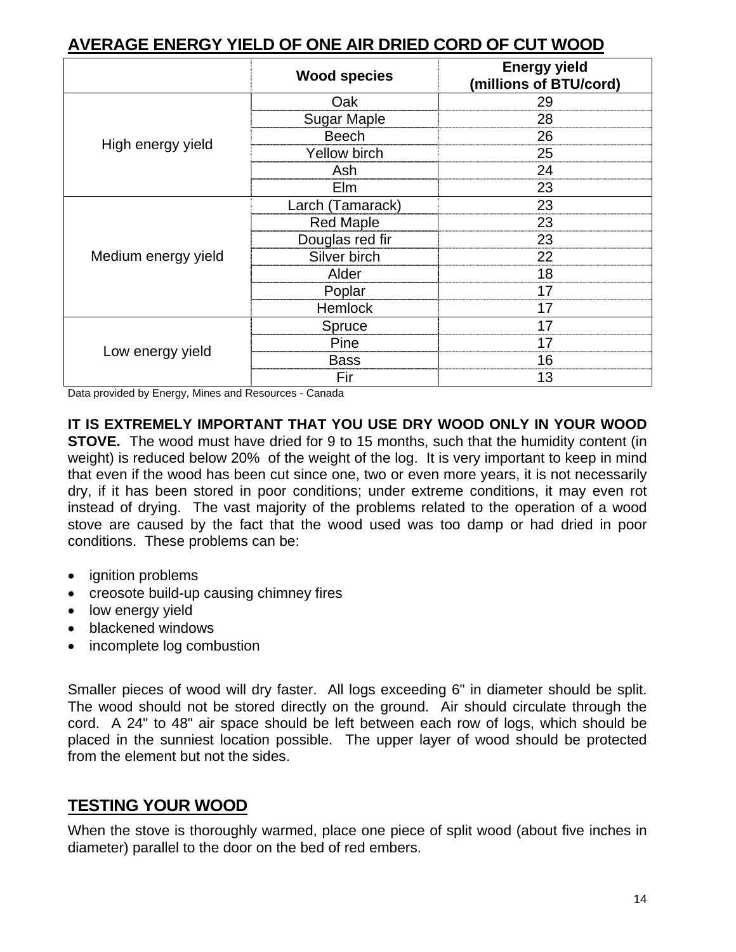| AVERAGE ENERGI TIEED OF ONE AIR DRIED CORD OF COT WOOD |                     |                                               |  |
|--------------------------------------------------------|---------------------|-----------------------------------------------|--|
|                                                        | <b>Wood species</b> | <b>Energy yield</b><br>(millions of BTU/cord) |  |
|                                                        | Oak                 | 29                                            |  |
|                                                        | <b>Sugar Maple</b>  | 28                                            |  |
|                                                        | <b>Beech</b>        | 26                                            |  |
| High energy yield                                      | <b>Yellow birch</b> | 25                                            |  |
|                                                        | Ash                 | 24                                            |  |
|                                                        | Elm                 | 23                                            |  |
|                                                        | Larch (Tamarack)    | 23                                            |  |
|                                                        | <b>Red Maple</b>    | 23                                            |  |
|                                                        | Douglas red fir     | 23                                            |  |
| Medium energy yield                                    | Silver birch        | 22                                            |  |
|                                                        | Alder               | 18                                            |  |
|                                                        | Poplar              | 17                                            |  |
|                                                        | <b>Hemlock</b>      | 17                                            |  |
|                                                        | Spruce              | 17                                            |  |
| Low energy yield                                       | Pine                | 17                                            |  |
|                                                        | <b>Bass</b>         | 16                                            |  |
|                                                        | Fir                 | 13                                            |  |

#### **AVERAGE ENERGY YIELD OF ONE AIR DRIED CORD OF CUT WOOD**

Data provided by Energy, Mines and Resources - Canada

**IT IS EXTREMELY IMPORTANT THAT YOU USE DRY WOOD ONLY IN YOUR WOOD STOVE.** The wood must have dried for 9 to 15 months, such that the humidity content (in weight) is reduced below 20% of the weight of the log. It is very important to keep in mind that even if the wood has been cut since one, two or even more years, it is not necessarily dry, if it has been stored in poor conditions; under extreme conditions, it may even rot instead of drying. The vast majority of the problems related to the operation of a wood stove are caused by the fact that the wood used was too damp or had dried in poor conditions. These problems can be:

- ignition problems
- creosote build-up causing chimney fires
- low energy yield
- blackened windows
- incomplete log combustion

Smaller pieces of wood will dry faster. All logs exceeding 6" in diameter should be split. The wood should not be stored directly on the ground. Air should circulate through the cord. A 24" to 48" air space should be left between each row of logs, which should be placed in the sunniest location possible. The upper layer of wood should be protected from the element but not the sides.

# **TESTING YOUR WOOD**

When the stove is thoroughly warmed, place one piece of split wood (about five inches in diameter) parallel to the door on the bed of red embers.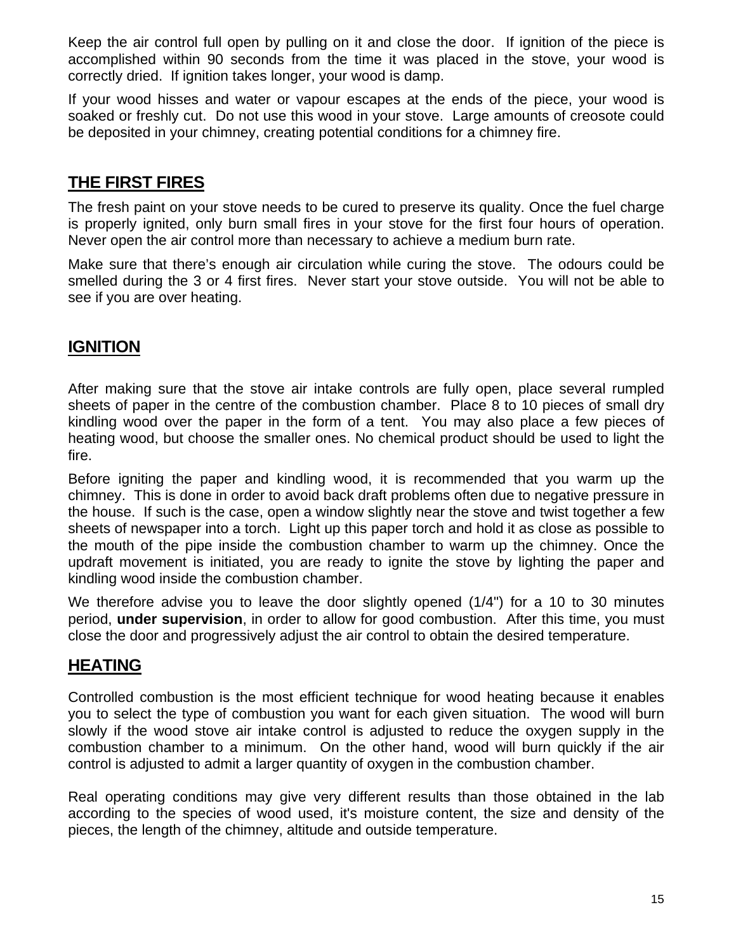Keep the air control full open by pulling on it and close the door. If ignition of the piece is accomplished within 90 seconds from the time it was placed in the stove, your wood is correctly dried. If ignition takes longer, your wood is damp.

If your wood hisses and water or vapour escapes at the ends of the piece, your wood is soaked or freshly cut. Do not use this wood in your stove. Large amounts of creosote could be deposited in your chimney, creating potential conditions for a chimney fire.

### **THE FIRST FIRES**

The fresh paint on your stove needs to be cured to preserve its quality. Once the fuel charge is properly ignited, only burn small fires in your stove for the first four hours of operation. Never open the air control more than necessary to achieve a medium burn rate.

Make sure that there's enough air circulation while curing the stove. The odours could be smelled during the 3 or 4 first fires. Never start your stove outside. You will not be able to see if you are over heating.

#### **IGNITION**

After making sure that the stove air intake controls are fully open, place several rumpled sheets of paper in the centre of the combustion chamber. Place 8 to 10 pieces of small dry kindling wood over the paper in the form of a tent. You may also place a few pieces of heating wood, but choose the smaller ones. No chemical product should be used to light the fire.

Before igniting the paper and kindling wood, it is recommended that you warm up the chimney. This is done in order to avoid back draft problems often due to negative pressure in the house. If such is the case, open a window slightly near the stove and twist together a few sheets of newspaper into a torch. Light up this paper torch and hold it as close as possible to the mouth of the pipe inside the combustion chamber to warm up the chimney. Once the updraft movement is initiated, you are ready to ignite the stove by lighting the paper and kindling wood inside the combustion chamber.

We therefore advise you to leave the door slightly opened (1/4") for a 10 to 30 minutes period, **under supervision**, in order to allow for good combustion. After this time, you must close the door and progressively adjust the air control to obtain the desired temperature.

#### **HEATING**

Controlled combustion is the most efficient technique for wood heating because it enables you to select the type of combustion you want for each given situation. The wood will burn slowly if the wood stove air intake control is adjusted to reduce the oxygen supply in the combustion chamber to a minimum. On the other hand, wood will burn quickly if the air control is adjusted to admit a larger quantity of oxygen in the combustion chamber.

Real operating conditions may give very different results than those obtained in the lab according to the species of wood used, it's moisture content, the size and density of the pieces, the length of the chimney, altitude and outside temperature.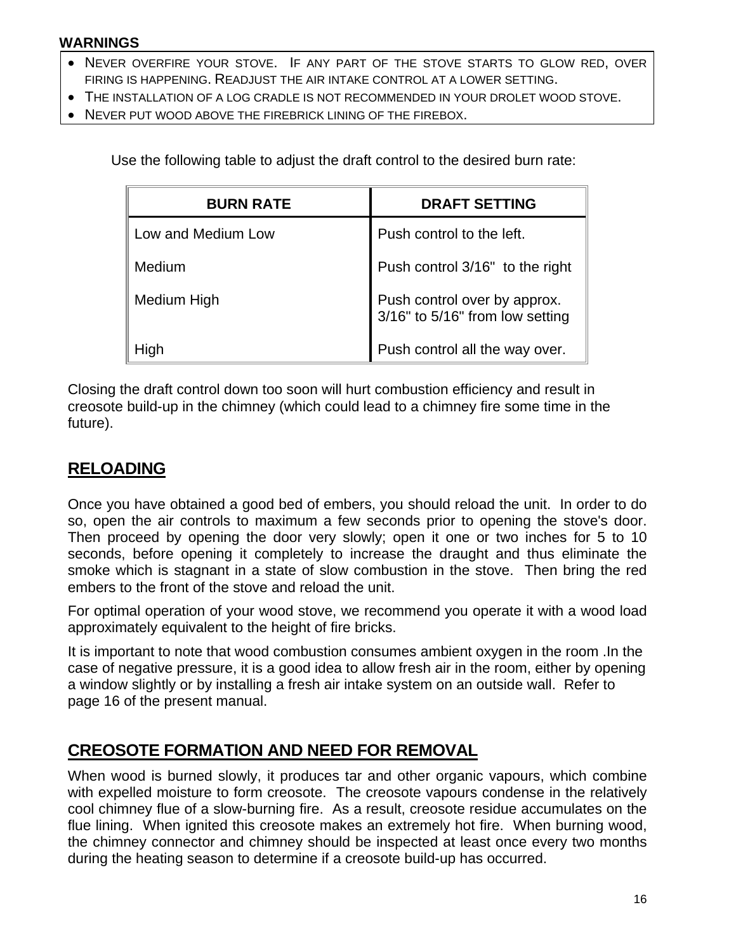#### **WARNINGS**

- NEVER OVERFIRE YOUR STOVE. IF ANY PART OF THE STOVE STARTS TO GLOW RED, OVER FIRING IS HAPPENING. READJUST THE AIR INTAKE CONTROL AT A LOWER SETTING.
- THE INSTALLATION OF A LOG CRADLE IS NOT RECOMMENDED IN YOUR DROLET WOOD STOVE.
- NEVER PUT WOOD ABOVE THE FIREBRICK LINING OF THE FIREBOX.

Use the following table to adjust the draft control to the desired burn rate:

| <b>BURN RATE</b>   | <b>DRAFT SETTING</b>                                            |
|--------------------|-----------------------------------------------------------------|
| Low and Medium Low | Push control to the left.                                       |
| Medium             | Push control 3/16" to the right                                 |
| Medium High        | Push control over by approx.<br>3/16" to 5/16" from low setting |
| High               | Push control all the way over.                                  |

Closing the draft control down too soon will hurt combustion efficiency and result in creosote build-up in the chimney (which could lead to a chimney fire some time in the future).

#### **RELOADING**

Once you have obtained a good bed of embers, you should reload the unit. In order to do so, open the air controls to maximum a few seconds prior to opening the stove's door. Then proceed by opening the door very slowly; open it one or two inches for 5 to 10 seconds, before opening it completely to increase the draught and thus eliminate the smoke which is stagnant in a state of slow combustion in the stove. Then bring the red embers to the front of the stove and reload the unit.

For optimal operation of your wood stove, we recommend you operate it with a wood load approximately equivalent to the height of fire bricks.

It is important to note that wood combustion consumes ambient oxygen in the room .In the case of negative pressure, it is a good idea to allow fresh air in the room, either by opening a window slightly or by installing a fresh air intake system on an outside wall. Refer to page 16 of the present manual.

#### **CREOSOTE FORMATION AND NEED FOR REMOVAL**

When wood is burned slowly, it produces tar and other organic vapours, which combine with expelled moisture to form creosote. The creosote vapours condense in the relatively cool chimney flue of a slow-burning fire. As a result, creosote residue accumulates on the flue lining. When ignited this creosote makes an extremely hot fire. When burning wood, the chimney connector and chimney should be inspected at least once every two months during the heating season to determine if a creosote build-up has occurred.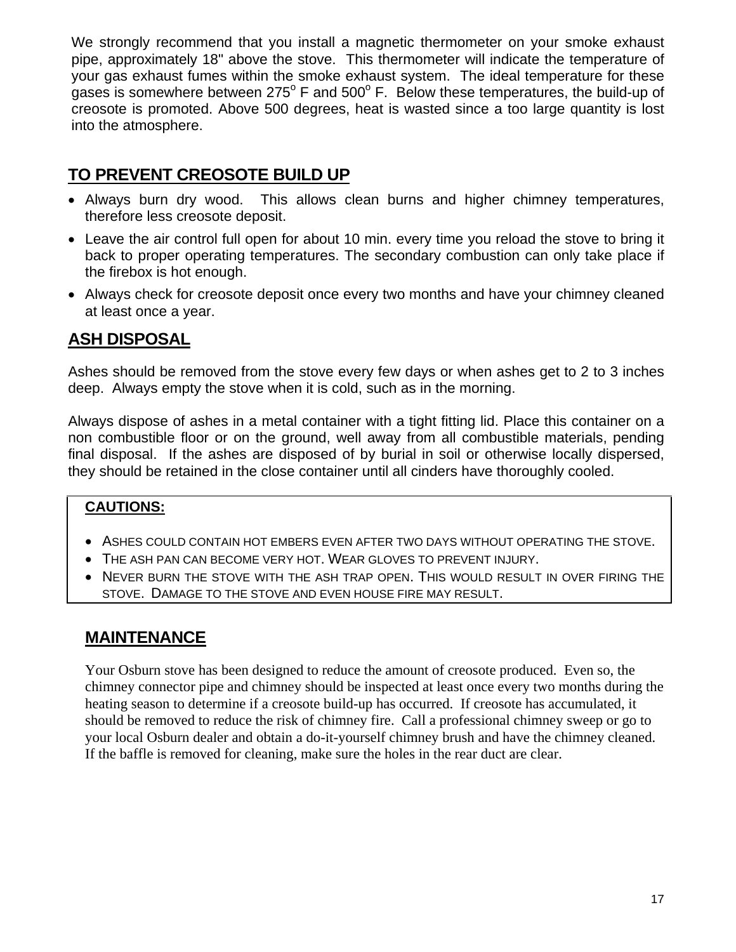We strongly recommend that you install a magnetic thermometer on your smoke exhaust pipe, approximately 18" above the stove. This thermometer will indicate the temperature of your gas exhaust fumes within the smoke exhaust system. The ideal temperature for these gases is somewhere between 275 $^{\circ}$  F and 500 $^{\circ}$  F. Below these temperatures, the build-up of creosote is promoted. Above 500 degrees, heat is wasted since a too large quantity is lost into the atmosphere.

#### **TO PREVENT CREOSOTE BUILD UP**

- Always burn dry wood. This allows clean burns and higher chimney temperatures, therefore less creosote deposit.
- Leave the air control full open for about 10 min. every time you reload the stove to bring it back to proper operating temperatures. The secondary combustion can only take place if the firebox is hot enough.
- Always check for creosote deposit once every two months and have your chimney cleaned at least once a year.

### **ASH DISPOSAL**

Ashes should be removed from the stove every few days or when ashes get to 2 to 3 inches deep. Always empty the stove when it is cold, such as in the morning.

Always dispose of ashes in a metal container with a tight fitting lid. Place this container on a non combustible floor or on the ground, well away from all combustible materials, pending final disposal. If the ashes are disposed of by burial in soil or otherwise locally dispersed, they should be retained in the close container until all cinders have thoroughly cooled.

#### **CAUTIONS:**

- ASHES COULD CONTAIN HOT EMBERS EVEN AFTER TWO DAYS WITHOUT OPERATING THE STOVE.
- THE ASH PAN CAN BECOME VERY HOT. WEAR GLOVES TO PREVENT INJURY.
- NEVER BURN THE STOVE WITH THE ASH TRAP OPEN. THIS WOULD RESULT IN OVER FIRING THE STOVE. DAMAGE TO THE STOVE AND EVEN HOUSE FIRE MAY RESULT.

#### **MAINTENANCE**

Your Osburn stove has been designed to reduce the amount of creosote produced. Even so, the chimney connector pipe and chimney should be inspected at least once every two months during the heating season to determine if a creosote build-up has occurred. If creosote has accumulated, it should be removed to reduce the risk of chimney fire. Call a professional chimney sweep or go to your local Osburn dealer and obtain a do-it-yourself chimney brush and have the chimney cleaned. If the baffle is removed for cleaning, make sure the holes in the rear duct are clear.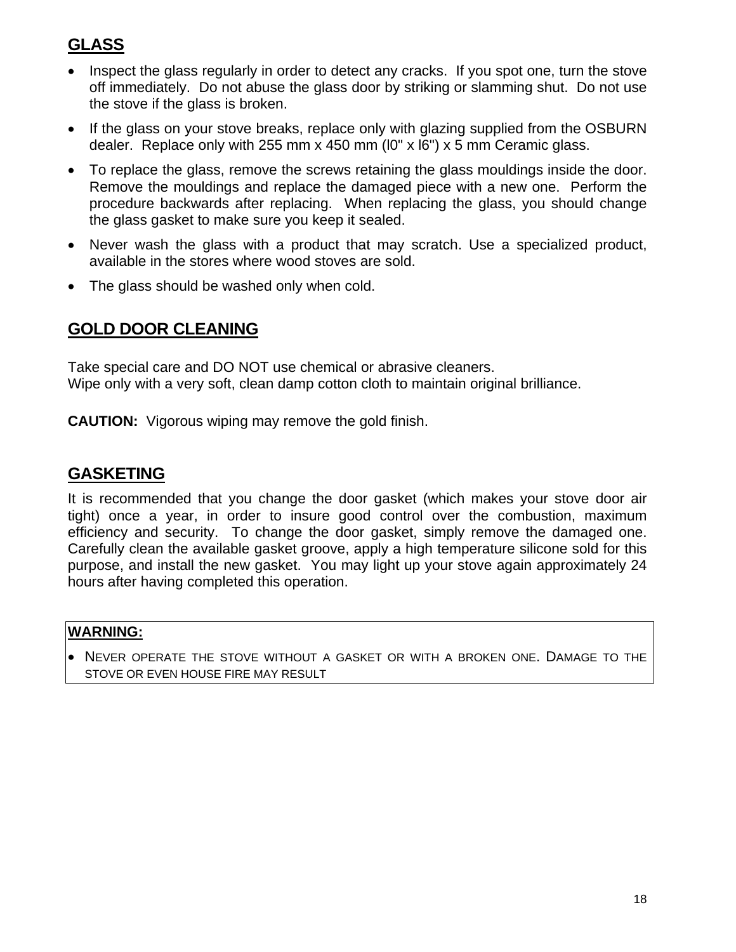# **GLASS**

- Inspect the glass regularly in order to detect any cracks. If you spot one, turn the stove off immediately. Do not abuse the glass door by striking or slamming shut. Do not use the stove if the glass is broken.
- If the glass on your stove breaks, replace only with glazing supplied from the OSBURN dealer. Replace only with 255 mm x 450 mm (l0" x l6") x 5 mm Ceramic glass.
- To replace the glass, remove the screws retaining the glass mouldings inside the door. Remove the mouldings and replace the damaged piece with a new one. Perform the procedure backwards after replacing. When replacing the glass, you should change the glass gasket to make sure you keep it sealed.
- Never wash the glass with a product that may scratch. Use a specialized product, available in the stores where wood stoves are sold.
- The glass should be washed only when cold.

#### **GOLD DOOR CLEANING**

Take special care and DO NOT use chemical or abrasive cleaners. Wipe only with a very soft, clean damp cotton cloth to maintain original brilliance.

**CAUTION:** Vigorous wiping may remove the gold finish.

#### **GASKETING**

It is recommended that you change the door gasket (which makes your stove door air tight) once a year, in order to insure good control over the combustion, maximum efficiency and security. To change the door gasket, simply remove the damaged one. Carefully clean the available gasket groove, apply a high temperature silicone sold for this purpose, and install the new gasket. You may light up your stove again approximately 24 hours after having completed this operation.

#### **WARNING:**

• NEVER OPERATE THE STOVE WITHOUT A GASKET OR WITH A BROKEN ONE. DAMAGE TO THE STOVE OR EVEN HOUSE FIRE MAY RESULT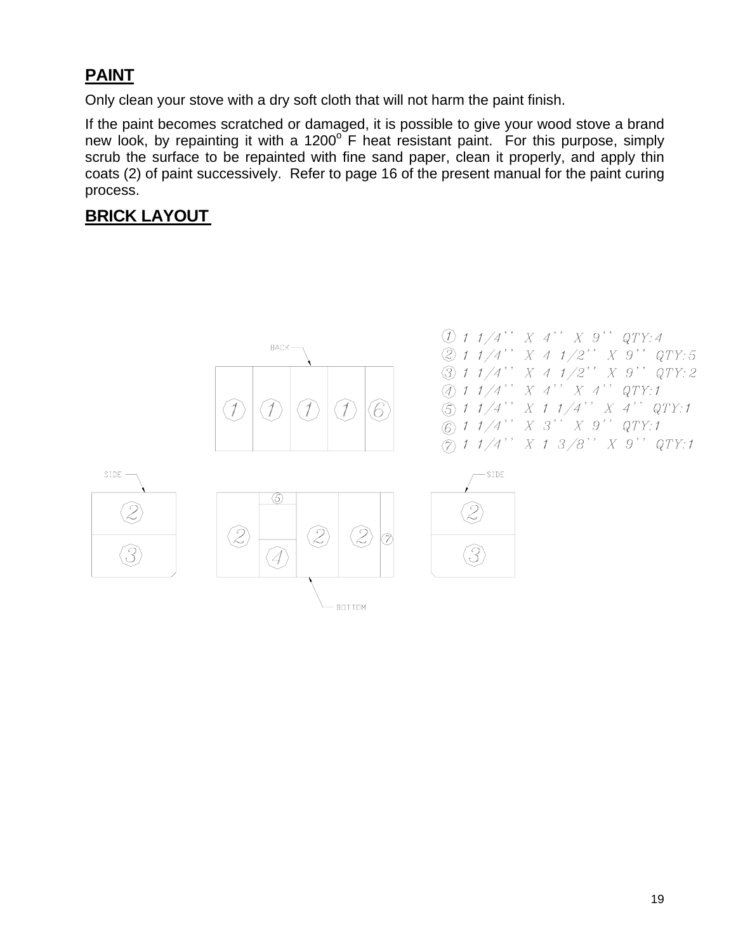### **PAINT**

Only clean your stove with a dry soft cloth that will not harm the paint finish.

If the paint becomes scratched or damaged, it is possible to give your wood stove a brand new look, by repainting it with a 1200 $\degree$  F heat resistant paint. For this purpose, simply scrub the surface to be repainted with fine sand paper, clean it properly, and apply thin coats (2) of paint successively. Refer to page 16 of the present manual for the paint curing process.

# **BRICK LAYOUT**

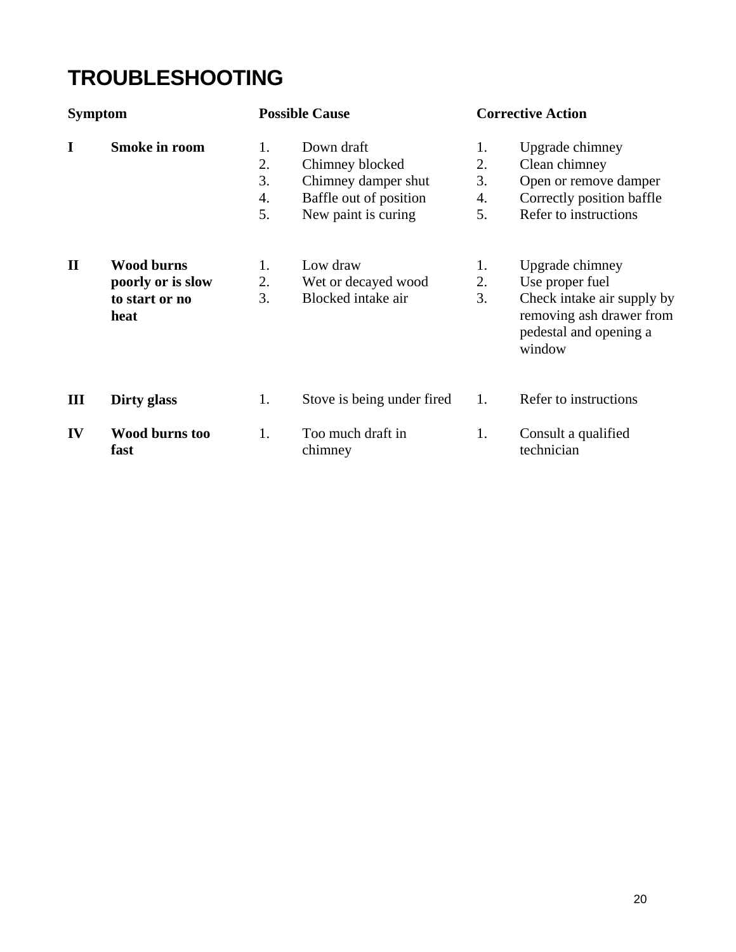# **TROUBLESHOOTING**

| <b>Symptom</b> |                               |          | <b>Possible Cause</b>         |          | <b>Corrective Action</b>                                                                   |  |
|----------------|-------------------------------|----------|-------------------------------|----------|--------------------------------------------------------------------------------------------|--|
| I              | <b>Smoke in room</b>          | 1.<br>2. | Down draft<br>Chimney blocked | 1.<br>2. | Upgrade chimney<br>Clean chimney                                                           |  |
|                |                               | 3.       | Chimney damper shut           | 3.       | Open or remove damper                                                                      |  |
|                |                               | 4.       | Baffle out of position        | 4.       | Correctly position baffle                                                                  |  |
|                |                               | 5.       | New paint is curing           | 5.       | Refer to instructions                                                                      |  |
| $\mathbf{I}$   | <b>Wood burns</b>             | 1.       | Low draw                      | 1.       | Upgrade chimney                                                                            |  |
|                | poorly or is slow             | 2.       | Wet or decayed wood           | 2.       | Use proper fuel                                                                            |  |
|                | to start or no<br>heat        | 3.       | Blocked intake air            | 3.       | Check intake air supply by<br>removing ash drawer from<br>pedestal and opening a<br>window |  |
| III            | Dirty glass                   | 1.       | Stove is being under fired    | 1.       | Refer to instructions                                                                      |  |
| IV             | <b>Wood burns too</b><br>fast | 1.       | Too much draft in<br>chimney  | 1.       | Consult a qualified<br>technician                                                          |  |